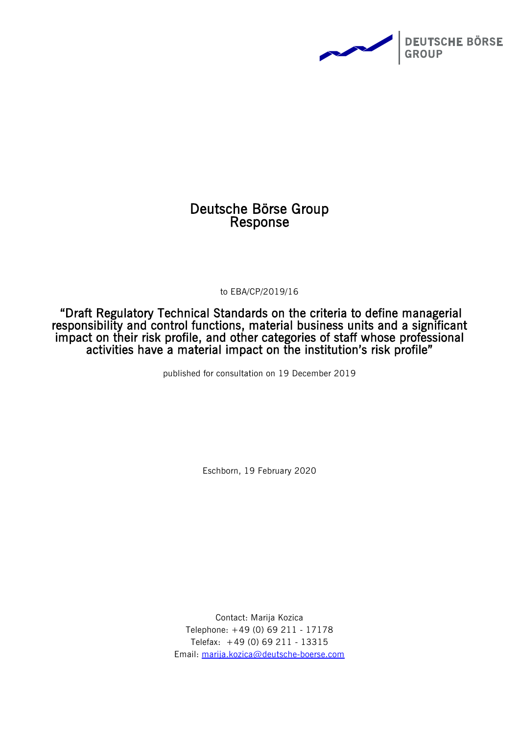

## Deutsche Börse Group Response

to EBA/CP/2019/16

"Draft Regulatory Technical Standards on the criteria to define managerial responsibility and control functions, material business units and a significant impact on their risk profile, and other categories of staff whose professional activities have a material impact on the institution's risk profile"

published for consultation on 19 December 2019

Eschborn, 19 February 2020

Contact: Marija Kozica Telephone: +49 (0) 69 211 - 17178 Telefax: +49 (0) 69 211 - 13315 Email: [marija.kozica@deutsche-boerse.com](mailto:marija.kozica@deutsche-boerse.com)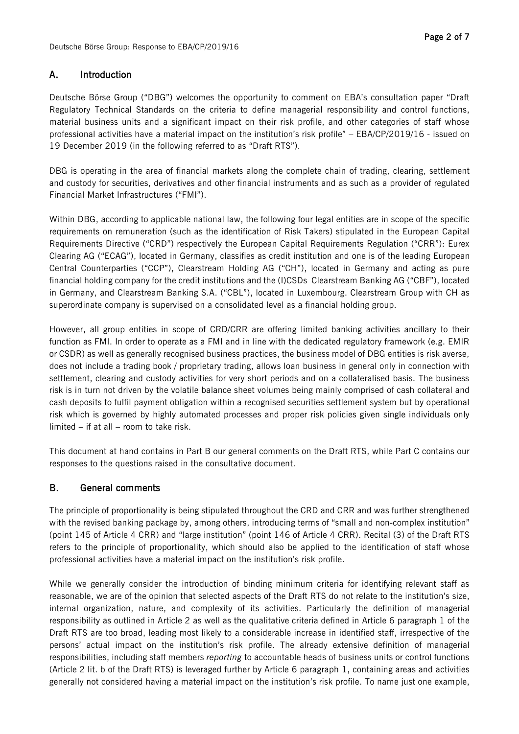## A. Introduction

Deutsche Börse Group ("DBG") welcomes the opportunity to comment on EBA's consultation paper "Draft Regulatory Technical Standards on the criteria to define managerial responsibility and control functions, material business units and a significant impact on their risk profile, and other categories of staff whose professional activities have a material impact on the institution's risk profile" – EBA/CP/2019/16 - issued on 19 December 2019 (in the following referred to as "Draft RTS").

DBG is operating in the area of financial markets along the complete chain of trading, clearing, settlement and custody for securities, derivatives and other financial instruments and as such as a provider of regulated Financial Market Infrastructures ("FMI").

Within DBG, according to applicable national law, the following four legal entities are in scope of the specific requirements on remuneration (such as the identification of Risk Takers) stipulated in the European Capital Requirements Directive ("CRD") respectively the European Capital Requirements Regulation ("CRR"): Eurex Clearing AG ("ECAG"), located in Germany, classifies as credit institution and one is of the leading European Central Counterparties ("CCP"), Clearstream Holding AG ("CH"), located in Germany and acting as pure financial holding company for the credit institutions and the (I)CSDs Clearstream Banking AG ("CBF"), located in Germany, and Clearstream Banking S.A. ("CBL"), located in Luxembourg. Clearstream Group with CH as superordinate company is supervised on a consolidated level as a financial holding group.

However, all group entities in scope of CRD/CRR are offering limited banking activities ancillary to their function as FMI. In order to operate as a FMI and in line with the dedicated regulatory framework (e.g. EMIR or CSDR) as well as generally recognised business practices, the business model of DBG entities is risk averse, does not include a trading book / proprietary trading, allows loan business in general only in connection with settlement, clearing and custody activities for very short periods and on a collateralised basis. The business risk is in turn not driven by the volatile balance sheet volumes being mainly comprised of cash collateral and cash deposits to fulfil payment obligation within a recognised securities settlement system but by operational risk which is governed by highly automated processes and proper risk policies given single individuals only limited – if at all – room to take risk.

This document at hand contains in Part B our general comments on the Draft RTS, while Part C contains our responses to the questions raised in the consultative document.

## B. General comments

The principle of proportionality is being stipulated throughout the CRD and CRR and was further strengthened with the revised banking package by, among others, introducing terms of "small and non-complex institution" (point 145 of Article 4 CRR) and "large institution" (point 146 of Article 4 CRR). Recital (3) of the Draft RTS refers to the principle of proportionality, which should also be applied to the identification of staff whose professional activities have a material impact on the institution's risk profile.

While we generally consider the introduction of binding minimum criteria for identifying relevant staff as reasonable, we are of the opinion that selected aspects of the Draft RTS do not relate to the institution's size, internal organization, nature, and complexity of its activities. Particularly the definition of managerial responsibility as outlined in Article 2 as well as the qualitative criteria defined in Article 6 paragraph 1 of the Draft RTS are too broad, leading most likely to a considerable increase in identified staff, irrespective of the persons' actual impact on the institution's risk profile. The already extensive definition of managerial responsibilities, including staff members *reporting* to accountable heads of business units or control functions (Article 2 lit. b of the Draft RTS) is leveraged further by Article 6 paragraph 1, containing areas and activities generally not considered having a material impact on the institution's risk profile. To name just one example,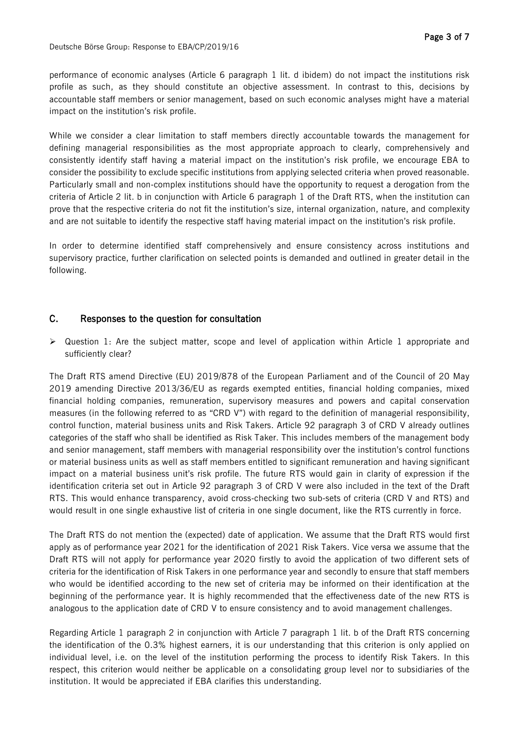Deutsche Börse Group: Response to EBA/CP/2019/16

performance of economic analyses (Article 6 paragraph 1 lit. d ibidem) do not impact the institutions risk profile as such, as they should constitute an objective assessment. In contrast to this, decisions by accountable staff members or senior management, based on such economic analyses might have a material impact on the institution's risk profile.

While we consider a clear limitation to staff members directly accountable towards the management for defining managerial responsibilities as the most appropriate approach to clearly, comprehensively and consistently identify staff having a material impact on the institution's risk profile, we encourage EBA to consider the possibility to exclude specific institutions from applying selected criteria when proved reasonable. Particularly small and non-complex institutions should have the opportunity to request a derogation from the criteria of Article 2 lit. b in conjunction with Article 6 paragraph 1 of the Draft RTS, when the institution can prove that the respective criteria do not fit the institution's size, internal organization, nature, and complexity and are not suitable to identify the respective staff having material impact on the institution's risk profile.

In order to determine identified staff comprehensively and ensure consistency across institutions and supervisory practice, further clarification on selected points is demanded and outlined in greater detail in the following.

## C. Responses to the question for consultation

 $\triangleright$  Question 1: Are the subject matter, scope and level of application within Article 1 appropriate and sufficiently clear?

The Draft RTS amend Directive (EU) 2019/878 of the European Parliament and of the Council of 20 May 2019 amending Directive 2013/36/EU as regards exempted entities, financial holding companies, mixed financial holding companies, remuneration, supervisory measures and powers and capital conservation measures (in the following referred to as "CRD V") with regard to the definition of managerial responsibility, control function, material business units and Risk Takers. Article 92 paragraph 3 of CRD V already outlines categories of the staff who shall be identified as Risk Taker. This includes members of the management body and senior management, staff members with managerial responsibility over the institution's control functions or material business units as well as staff members entitled to significant remuneration and having significant impact on a material business unit's risk profile. The future RTS would gain in clarity of expression if the identification criteria set out in Article 92 paragraph 3 of CRD V were also included in the text of the Draft RTS. This would enhance transparency, avoid cross-checking two sub-sets of criteria (CRD V and RTS) and would result in one single exhaustive list of criteria in one single document, like the RTS currently in force.

The Draft RTS do not mention the (expected) date of application. We assume that the Draft RTS would first apply as of performance year 2021 for the identification of 2021 Risk Takers. Vice versa we assume that the Draft RTS will not apply for performance year 2020 firstly to avoid the application of two different sets of criteria for the identification of Risk Takers in one performance year and secondly to ensure that staff members who would be identified according to the new set of criteria may be informed on their identification at the beginning of the performance year. It is highly recommended that the effectiveness date of the new RTS is analogous to the application date of CRD V to ensure consistency and to avoid management challenges.

Regarding Article 1 paragraph 2 in conjunction with Article 7 paragraph 1 lit. b of the Draft RTS concerning the identification of the 0.3% highest earners, it is our understanding that this criterion is only applied on individual level, i.e. on the level of the institution performing the process to identify Risk Takers. In this respect, this criterion would neither be applicable on a consolidating group level nor to subsidiaries of the institution. It would be appreciated if EBA clarifies this understanding.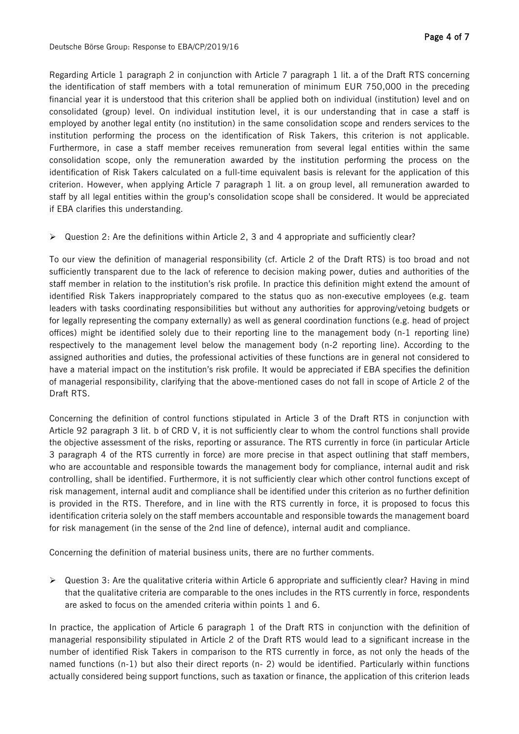Regarding Article 1 paragraph 2 in conjunction with Article 7 paragraph 1 lit. a of the Draft RTS concerning the identification of staff members with a total remuneration of minimum EUR 750,000 in the preceding financial year it is understood that this criterion shall be applied both on individual (institution) level and on consolidated (group) level. On individual institution level, it is our understanding that in case a staff is employed by another legal entity (no institution) in the same consolidation scope and renders services to the institution performing the process on the identification of Risk Takers, this criterion is not applicable. Furthermore, in case a staff member receives remuneration from several legal entities within the same consolidation scope, only the remuneration awarded by the institution performing the process on the identification of Risk Takers calculated on a full-time equivalent basis is relevant for the application of this criterion. However, when applying Article 7 paragraph 1 lit. a on group level, all remuneration awarded to staff by all legal entities within the group's consolidation scope shall be considered. It would be appreciated if EBA clarifies this understanding.

 $\triangleright$  Question 2: Are the definitions within Article 2, 3 and 4 appropriate and sufficiently clear?

To our view the definition of managerial responsibility (cf. Article 2 of the Draft RTS) is too broad and not sufficiently transparent due to the lack of reference to decision making power, duties and authorities of the staff member in relation to the institution's risk profile. In practice this definition might extend the amount of identified Risk Takers inappropriately compared to the status quo as non-executive employees (e.g. team leaders with tasks coordinating responsibilities but without any authorities for approving/vetoing budgets or for legally representing the company externally) as well as general coordination functions (e.g. head of project offices) might be identified solely due to their reporting line to the management body (n-1 reporting line) respectively to the management level below the management body (n-2 reporting line). According to the assigned authorities and duties, the professional activities of these functions are in general not considered to have a material impact on the institution's risk profile. It would be appreciated if EBA specifies the definition of managerial responsibility, clarifying that the above-mentioned cases do not fall in scope of Article 2 of the Draft RTS.

Concerning the definition of control functions stipulated in Article 3 of the Draft RTS in conjunction with Article 92 paragraph 3 lit. b of CRD V, it is not sufficiently clear to whom the control functions shall provide the objective assessment of the risks, reporting or assurance. The RTS currently in force (in particular Article 3 paragraph 4 of the RTS currently in force) are more precise in that aspect outlining that staff members, who are accountable and responsible towards the management body for compliance, internal audit and risk controlling, shall be identified. Furthermore, it is not sufficiently clear which other control functions except of risk management, internal audit and compliance shall be identified under this criterion as no further definition is provided in the RTS. Therefore, and in line with the RTS currently in force, it is proposed to focus this identification criteria solely on the staff members accountable and responsible towards the management board for risk management (in the sense of the 2nd line of defence), internal audit and compliance.

Concerning the definition of material business units, there are no further comments.

 $\triangleright$  Question 3: Are the qualitative criteria within Article 6 appropriate and sufficiently clear? Having in mind that the qualitative criteria are comparable to the ones includes in the RTS currently in force, respondents are asked to focus on the amended criteria within points 1 and 6.

In practice, the application of Article 6 paragraph 1 of the Draft RTS in conjunction with the definition of managerial responsibility stipulated in Article 2 of the Draft RTS would lead to a significant increase in the number of identified Risk Takers in comparison to the RTS currently in force, as not only the heads of the named functions (n-1) but also their direct reports (n- 2) would be identified. Particularly within functions actually considered being support functions, such as taxation or finance, the application of this criterion leads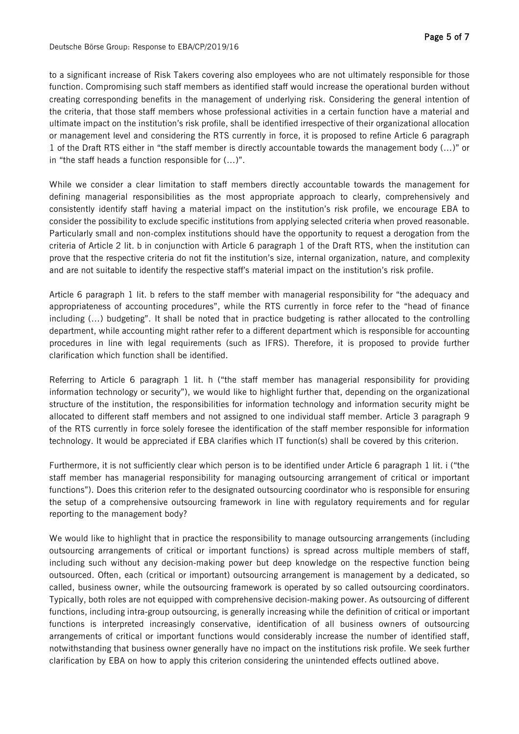to a significant increase of Risk Takers covering also employees who are not ultimately responsible for those function. Compromising such staff members as identified staff would increase the operational burden without creating corresponding benefits in the management of underlying risk. Considering the general intention of the criteria, that those staff members whose professional activities in a certain function have a material and ultimate impact on the institution's risk profile, shall be identified irrespective of their organizational allocation or management level and considering the RTS currently in force, it is proposed to refine Article 6 paragraph 1 of the Draft RTS either in "the staff member is directly accountable towards the management body (…)" or in "the staff heads a function responsible for (…)".

While we consider a clear limitation to staff members directly accountable towards the management for defining managerial responsibilities as the most appropriate approach to clearly, comprehensively and consistently identify staff having a material impact on the institution's risk profile, we encourage EBA to consider the possibility to exclude specific institutions from applying selected criteria when proved reasonable. Particularly small and non-complex institutions should have the opportunity to request a derogation from the criteria of Article 2 lit. b in conjunction with Article 6 paragraph 1 of the Draft RTS, when the institution can prove that the respective criteria do not fit the institution's size, internal organization, nature, and complexity and are not suitable to identify the respective staff's material impact on the institution's risk profile.

Article 6 paragraph 1 lit. b refers to the staff member with managerial responsibility for "the adequacy and appropriateness of accounting procedures", while the RTS currently in force refer to the "head of finance including (…) budgeting". It shall be noted that in practice budgeting is rather allocated to the controlling department, while accounting might rather refer to a different department which is responsible for accounting procedures in line with legal requirements (such as IFRS). Therefore, it is proposed to provide further clarification which function shall be identified.

Referring to Article 6 paragraph 1 lit. h ("the staff member has managerial responsibility for providing information technology or security"), we would like to highlight further that, depending on the organizational structure of the institution, the responsibilities for information technology and information security might be allocated to different staff members and not assigned to one individual staff member. Article 3 paragraph 9 of the RTS currently in force solely foresee the identification of the staff member responsible for information technology. It would be appreciated if EBA clarifies which IT function(s) shall be covered by this criterion.

Furthermore, it is not sufficiently clear which person is to be identified under Article 6 paragraph 1 lit. i ("the staff member has managerial responsibility for managing outsourcing arrangement of critical or important functions"). Does this criterion refer to the designated outsourcing coordinator who is responsible for ensuring the setup of a comprehensive outsourcing framework in line with regulatory requirements and for regular reporting to the management body?

We would like to highlight that in practice the responsibility to manage outsourcing arrangements (including outsourcing arrangements of critical or important functions) is spread across multiple members of staff, including such without any decision-making power but deep knowledge on the respective function being outsourced. Often, each (critical or important) outsourcing arrangement is management by a dedicated, so called, business owner, while the outsourcing framework is operated by so called outsourcing coordinators. Typically, both roles are not equipped with comprehensive decision-making power. As outsourcing of different functions, including intra-group outsourcing, is generally increasing while the definition of critical or important functions is interpreted increasingly conservative, identification of all business owners of outsourcing arrangements of critical or important functions would considerably increase the number of identified staff, notwithstanding that business owner generally have no impact on the institutions risk profile. We seek further clarification by EBA on how to apply this criterion considering the unintended effects outlined above.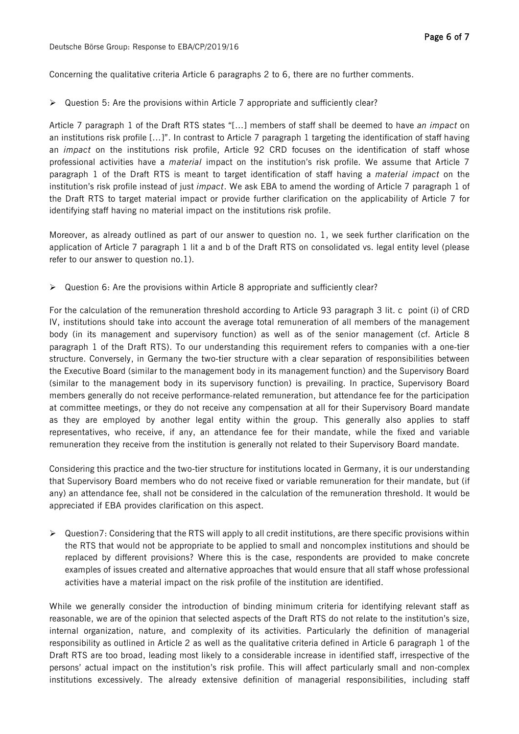Concerning the qualitative criteria Article 6 paragraphs 2 to 6, there are no further comments.

 $\triangleright$  Question 5: Are the provisions within Article 7 appropriate and sufficiently clear?

Article 7 paragraph 1 of the Draft RTS states "[…] members of staff shall be deemed to have *an impact* on an institutions risk profile […]". In contrast to Article 7 paragraph 1 targeting the identification of staff having an *impact* on the institutions risk profile, Article 92 CRD focuses on the identification of staff whose professional activities have a *material* impact on the institution's risk profile. We assume that Article 7 paragraph 1 of the Draft RTS is meant to target identification of staff having a *material impact* on the institution's risk profile instead of just *impact*. We ask EBA to amend the wording of Article 7 paragraph 1 of the Draft RTS to target material impact or provide further clarification on the applicability of Article 7 for identifying staff having no material impact on the institutions risk profile.

Moreover, as already outlined as part of our answer to question no. 1, we seek further clarification on the application of Article 7 paragraph 1 lit a and b of the Draft RTS on consolidated vs. legal entity level (please refer to our answer to question no.1).

 $\triangleright$  Question 6: Are the provisions within Article 8 appropriate and sufficiently clear?

For the calculation of the remuneration threshold according to Article 93 paragraph 3 lit. c point (i) of CRD IV, institutions should take into account the average total remuneration of all members of the management body (in its management and supervisory function) as well as of the senior management (cf. Article 8 paragraph 1 of the Draft RTS). To our understanding this requirement refers to companies with a one-tier structure. Conversely, in Germany the two-tier structure with a clear separation of responsibilities between the Executive Board (similar to the management body in its management function) and the Supervisory Board (similar to the management body in its supervisory function) is prevailing. In practice, Supervisory Board members generally do not receive performance-related remuneration, but attendance fee for the participation at committee meetings, or they do not receive any compensation at all for their Supervisory Board mandate as they are employed by another legal entity within the group. This generally also applies to staff representatives, who receive, if any, an attendance fee for their mandate, while the fixed and variable remuneration they receive from the institution is generally not related to their Supervisory Board mandate.

Considering this practice and the two-tier structure for institutions located in Germany, it is our understanding that Supervisory Board members who do not receive fixed or variable remuneration for their mandate, but (if any) an attendance fee, shall not be considered in the calculation of the remuneration threshold. It would be appreciated if EBA provides clarification on this aspect.

 $\triangleright$  Question7: Considering that the RTS will apply to all credit institutions, are there specific provisions within the RTS that would not be appropriate to be applied to small and noncomplex institutions and should be replaced by different provisions? Where this is the case, respondents are provided to make concrete examples of issues created and alternative approaches that would ensure that all staff whose professional activities have a material impact on the risk profile of the institution are identified.

While we generally consider the introduction of binding minimum criteria for identifying relevant staff as reasonable, we are of the opinion that selected aspects of the Draft RTS do not relate to the institution's size, internal organization, nature, and complexity of its activities. Particularly the definition of managerial responsibility as outlined in Article 2 as well as the qualitative criteria defined in Article 6 paragraph 1 of the Draft RTS are too broad, leading most likely to a considerable increase in identified staff, irrespective of the persons' actual impact on the institution's risk profile. This will affect particularly small and non-complex institutions excessively. The already extensive definition of managerial responsibilities, including staff